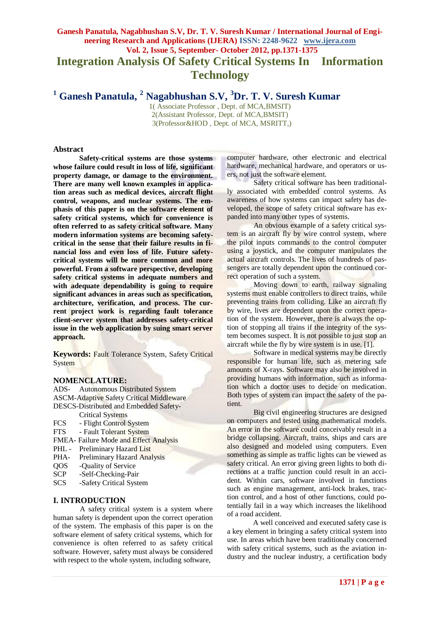# **Ganesh Panatula, Nagabhushan S.V, Dr. T. V. Suresh Kumar / International Journal of Engineering Research and Applications (IJERA) ISSN: 2248-9622 www.ijera.com Vol. 2, Issue 5, September- October 2012, pp.1371-1375 Integration Analysis Of Safety Critical Systems In Information Technology**

**<sup>1</sup> Ganesh Panatula, <sup>2</sup> Nagabhushan S.V, <sup>3</sup>Dr. T. V. Suresh Kumar**

1( Associate Professor , Dept. of MCA,BMSIT) 2(Assistant Professor, Dept. of MCA,BMSIT) 3(Professor&HOD , Dept. of MCA, MSRITT,)

### **Abstract**

**Safety-critical systems are those systems whose failure could result in loss of life, significant property damage, or damage to the environment. There are many well known examples in application areas such as medical devices, aircraft flight control, weapons, and nuclear systems. The emphasis of this paper is on the software element of safety critical systems, which for convenience is often referred to as safety critical software. Many modern information systems are becoming safetycritical in the sense that their failure results in financial loss and even loss of life. Future safetycritical systems will be more common and more powerful. From a software perspective, developing safety critical systems in adequate numbers and with adequate dependability is going to require significant advances in areas such as specification, architecture, verification, and process. The current project work is regarding fault tolerance client-server system that addresses safety-critical issue in the web application by suing smart server approach.** 

**Keywords:** Fault Tolerance System, Safety Critical **System** 

#### **NOMENCLATURE:**

ADS- Autonomous Distributed System ASCM-Adaptive Safety Critical Middleware DESCS-Distributed and Embedded Safety- Critical Systems

- FCS Flight Control System
- FTS Fault Tolerant System
- FMEA- Failure Mode and Effect Analysis
- PHL Preliminary Hazard List
- PHA- Preliminary Hazard Analysis
- QOS -Quality of Service
- SCP -Self-Checking-Pair
- SCS -Safety Critical System

#### **I. INTRODUCTION**

A safety critical system is a system where human safety is dependent upon the correct operation of the system. The emphasis of this paper is on the software element of safety critical systems, which for convenience is often referred to as safety critical software. However, safety must always be considered with respect to the whole system, including software,

computer hardware, other electronic and electrical hardware, mechanical hardware, and operators or users, not just the software element.

Safety critical software has been traditionally associated with embedded control systems. As awareness of how systems can impact safety has developed, the scope of safety critical software has expanded into many other types of systems.

An obvious example of a safety critical system is an aircraft fly by wire control system, where the pilot inputs commands to the control computer using a joystick, and the computer manipulates the actual aircraft controls. The lives of hundreds of passengers are totally dependent upon the continued correct operation of such a system.

Moving down to earth, railway signaling systems must enable controllers to direct trains, while preventing trains from colliding. Like an aircraft fly by wire, lives are dependent upon the correct operation of the system. However, there is always the option of stopping all trains if the integrity of the system becomes suspect. It is not possible to just stop an aircraft while the fly by wire system is in use. [1].

Software in medical systems may be directly responsible for human life, such as metering safe amounts of X-rays. Software may also be involved in providing humans with information, such as information which a doctor uses to decide on medication. Both types of system can impact the safety of the patient.

Big civil engineering structures are designed on computers and tested using mathematical models. An error in the software could conceivably result in a bridge collapsing. Aircraft, trains, ships and cars are also designed and modeled using computers. Even something as simple as traffic lights can be viewed as safety critical. An error giving green lights to both directions at a traffic junction could result in an accident. Within cars, software involved in functions such as engine management, anti-lock brakes, traction control, and a host of other functions, could potentially fail in a way which increases the likelihood of a road accident.

A well conceived and executed safety case is a key element in bringing a safety critical system into use. In areas which have been traditionally concerned with safety critical systems, such as the aviation industry and the nuclear industry, a certification body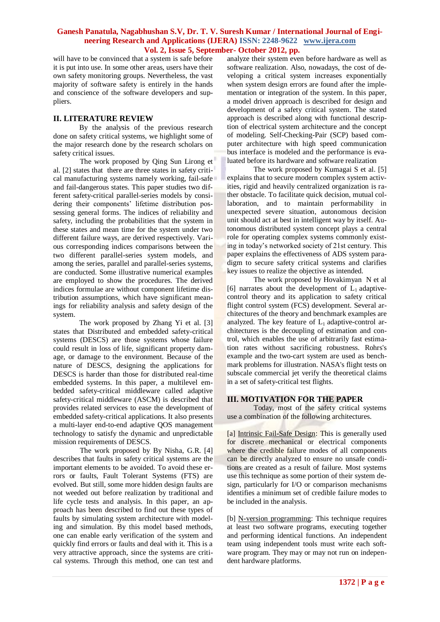will have to be convinced that a system is safe before it is put into use. In some other areas, users have their own safety monitoring groups. Nevertheless, the vast majority of software safety is entirely in the hands and conscience of the software developers and suppliers.

## **II. LITERATURE REVIEW**

By the analysis of the previous research done on safety critical systems, we highlight some of the major research done by the research scholars on safety critical issues.

The work proposed by Qing Sun Lirong et al. [2] states that there are three states in safety critical manufacturing systems namely working, fail-safe and fail-dangerous states. This paper studies two different safety-critical parallel-series models by considering their components' lifetime distribution possessing general forms. The indices of reliability and safety, including the probabilities that the system in these states and mean time for the system under two different failure ways, are derived respectively. Various corresponding indices comparisons between the two different parallel-series system models, and among the series, parallel and parallel-series systems, are conducted. Some illustrative numerical examples are employed to show the procedures. The derived indices formulae are without component lifetime distribution assumptions, which have significant meanings for reliability analysis and safety design of the system.

The work proposed by Zhang Yi et al. [3] states that Distributed and embedded safety-critical systems (DESCS) are those systems whose failure could result in loss of life, significant property damage, or damage to the environment. Because of the nature of DESCS, designing the applications for DESCS is harder than those for distributed real-time embedded systems. In this paper, a multilevel embedded safety-critical middleware called adaptive safety-critical middleware (ASCM) is described that provides related services to ease the development of embedded safety-critical applications. It also presents a multi-layer end-to-end adaptive QOS management technology to satisfy the dynamic and unpredictable mission requirements of DESCS.

The work proposed by By Nisha, G.R. [4] describes that faults in safety critical systems are the important elements to be avoided. To avoid these errors or faults, Fault Tolerant Systems (FTS) are evolved. But still, some more hidden design faults are not weeded out before realization by traditional and life cycle tests and analysis. In this paper, an approach has been described to find out these types of faults by simulating system architecture with modeling and simulation. By this model based methods, one can enable early verification of the system and quickly find errors or faults and deal with it. This is a very attractive approach, since the systems are critical systems. Through this method, one can test and

analyze their system even before hardware as well as software realization. Also, nowadays, the cost of developing a critical system increases exponentially when system design errors are found after the implementation or integration of the system. In this paper, a model driven approach is described for design and development of a safety critical system. The stated approach is described along with functional description of electrical system architecture and the concept of modeling. Self-Checking-Pair (SCP) based computer architecture with high speed communication bus interface is modeled and the performance is evaluated before its hardware and software realization

The work proposed by Kumagai S et al. [5] explains that to secure modern complex system activities, rigid and heavily centralized organization is rather obstacle. To facilitate quick decision, mutual collaboration, and to maintain performability in unexpected severe situation, autonomous decision unit should act at best in intelligent way by itself. Autonomous distributed system concept plays a central role for operating complex systems commonly existing in today's networked society of 21st century. This paper explains the effectiveness of ADS system paradigm to secure safety critical systems and clarifies key issues to realize the objective as intended.

The work proposed by Hovakimyan N et al [6] narrates about the development of  $L_1$  adaptivecontrol theory and its application to safety critical flight control system (FCS) development. Several architectures of the theory and benchmark examples are analyzed. The key feature of  $L_1$  adaptive-control architectures is the decoupling of estimation and control, which enables the use of arbitrarily fast estimation rates without sacrificing robustness. Rohrs's example and the two-cart system are used as benchmark problems for illustration. NASA's flight tests on subscale commercial jet verify the theoretical claims in a set of safety-critical test flights.

## **III. MOTIVATION FOR THE PAPER**

Today, most of the safety critical systems use a combination of the following architectures.

[a] Intrinsic Fail-Safe Design: This is generally used for discrete mechanical or electrical components where the credible failure modes of all components can be directly analyzed to ensure no unsafe conditions are created as a result of failure. Most systems use this technique as some portion of their system design, particularly for I/O or comparison mechanisms identifies a minimum set of credible failure modes to be included in the analysis.

[b] N-version programming: This technique requires at least two software programs, executing together and performing identical functions. An independent team using independent tools must write each software program. They may or may not run on independent hardware platforms.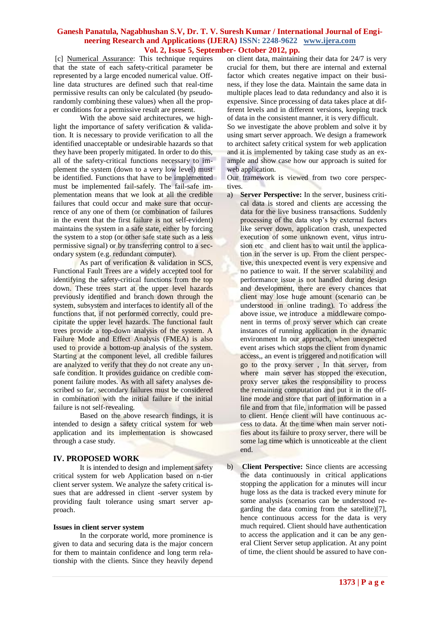[c] Numerical Assurance: This technique requires that the state of each safety-critical parameter be represented by a large encoded numerical value. Offline data structures are defined such that real-time permissive results can only be calculated (by pseudorandomly combining these values) when all the proper conditions for a permissive result are present.

With the above said architectures, we highlight the importance of safety verification & validation. It is necessary to provide verification to all the identified unacceptable or undesirable hazards so that they have been properly mitigated. In order to do this, all of the safety-critical functions necessary to implement the system (down to a very low level) must be identified. Functions that have to be implemented must be implemented fail-safely. The fail-safe implementation means that we look at all the credible failures that could occur and make sure that occurrence of any one of them (or combination of failures in the event that the first failure is not self-evident) maintains the system in a safe state, either by forcing the system to a stop (or other safe state such as a less permissive signal) or by transferring control to a secondary system (e.g. redundant computer).

As part of verification & validation in SCS, Functional Fault Trees are a widely accepted tool for identifying the safety-critical functions from the top down. These trees start at the upper level hazards previously identified and branch down through the system, subsystem and interfaces to identify all of the functions that, if not performed correctly, could precipitate the upper level hazards. The functional fault trees provide a top-down analysis of the system. A Failure Mode and Effect Analysis (FMEA) is also used to provide a bottom-up analysis of the system. Starting at the component level, all credible failures are analyzed to verify that they do not create any unsafe condition. It provides guidance on credible component failure modes. As with all safety analyses described so far, secondary failures must be considered in combination with the initial failure if the initial failure is not self-revealing.

Based on the above research findings, it is intended to design a safety critical system for web application and its implementation is showcased through a case study.

## **IV. PROPOSED WORK**

It is intended to design and implement safety critical system for web Application based on n-tier client server system. We analyze the safety critical issues that are addressed in client -server system by providing fault tolerance using smart server approach.

#### **Issues in client server system**

In the corporate world, more prominence is given to data and securing data is the major concern for them to maintain confidence and long term relationship with the clients. Since they heavily depend on client data, maintaining their data for 24/7 is very crucial for them, but there are internal and external factor which creates negative impact on their business, if they lose the data. Maintain the same data in multiple places lead to data redundancy and also it is expensive. Since processing of data takes place at different levels and in different versions, keeping track of data in the consistent manner, it is very difficult.

So we investigate the above problem and solve it by using smart server approach. We design a framework to architect safety critical system for web application and it is implemented by taking case study as an example and show case how our approach is suited for web application.

Our framework is viewed from two core perspectives.

- a) **Server Perspective:** In the server, business critical data is stored and clients are accessing the data for the live business transactions. Suddenly processing of the data stop's by external factors like server down, application crash, unexpected execution of some unknown event, virus intrusion etc and client has to wait until the application in the server is up. From the client perspective, this unexpected event is very expensive and no patience to wait. If the server scalability and performance issue is not handled during design and development, there are every chances that client may lose huge amount (scenario can be understood in online trading). To address the above issue, we introduce a middleware component in terms of proxy server which can create instances of running application in the dynamic environment In our approach, when unexpected event arises which stops the client from dynamic access,, an event is triggered and notification will go to the proxy server , In that server, from where main server has stopped the execution, proxy server takes the responsibility to process the remaining computation and put it in the offline mode and store that part of information in a file and from that file, information will be passed to client. Hence client will have continuous access to data. At the time when main server notifies about its failure to proxy server, there will be some lag time which is unnoticeable at the client end.
- b) **Client Perspective:** Since clients are accessing the data continuously in critical applications stopping the application for a minutes will incur huge loss as the data is tracked every minute for some analysis (scenarios can be understood regarding the data coming from the satellite)[7], hence continuous access for the data is very much required. Client should have authentication to access the application and it can be any general Client Server setup application. At any point of time, the client should be assured to have con-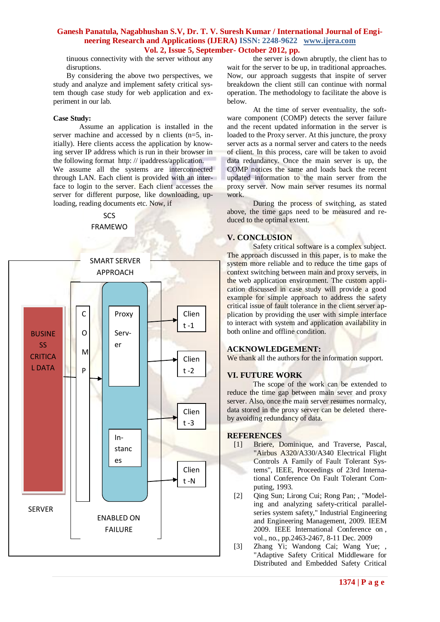tinuous connectivity with the server without any disruptions.

By considering the above two perspectives, we study and analyze and implement safety critical system though case study for web application and experiment in our lab.

#### **Case Study:**

Assume an application is installed in the server machine and accessed by n clients (n=5, initially). Here clients access the application by knowing server IP address which is run in their browser in the following format http: // ipaddress/application. We assume all the systems are interconnected through LAN. Each client is provided with an interface to login to the server. Each client accesses the server for different purpose, like downloading, uploading, reading documents etc. Now, if

> SCS FRAMEWO



the server is down abruptly, the client has to wait for the server to be up, in traditional approaches. Now, our approach suggests that inspite of server breakdown the client still can continue with normal operation. The methodology to facilitate the above is below.

At the time of server eventuality, the software component (COMP) detects the server failure and the recent updated information in the server is loaded to the Proxy server. At this juncture, the proxy server acts as a normal server and caters to the needs of client. In this process, care will be taken to avoid data redundancy. Once the main server is up, the COMP notices the same and loads back the recent updated information to the main server from the proxy server. Now main server resumes its normal work.

During the process of switching, as stated above, the time gaps need to be measured and reduced to the optimal extent.

## **V. CONCLUSION**

Safety critical software is a complex subject. The approach discussed in this paper, is to make the system more reliable and to reduce the time gaps of context switching between main and proxy servers, in the web application environment. The custom application discussed in case study will provide a good example for simple approach to address the safety critical issue of fault tolerance in the client server application by providing the user with simple interface to interact with system and application availability in both online and offline condition.

### **ACKNOWLEDGEMENT:**

We thank all the authors for the information support.

#### **VI. FUTURE WORK**

The scope of the work can be extended to reduce the time gap between main sever and proxy server. Also, once the main server resumes normalcy, data stored in the proxy server can be deleted thereby avoiding redundancy of data.

#### **REFERENCES**

- [1] Briere, Dominique, and Traverse, Pascal, "Airbus A320/A330/A340 Electrical Flight Controls A Family of Fault Tolerant Systems", IEEE, Proceedings of 23rd International Conference On Fault Tolerant Computing, 1993.
- [2] Oing Sun; Lirong Cui; Rong Pan; , "Modeling and analyzing safety-critical parallelseries system safety," Industrial Engineering and Engineering Management, 2009. IEEM 2009. IEEE International Conference on , vol., no., pp.2463-2467, 8-11 Dec. 2009
- [3] Zhang Yi; Wandong Cai; Wang Yue; , "Adaptive Safety Critical Middleware for Distributed and Embedded Safety Critical